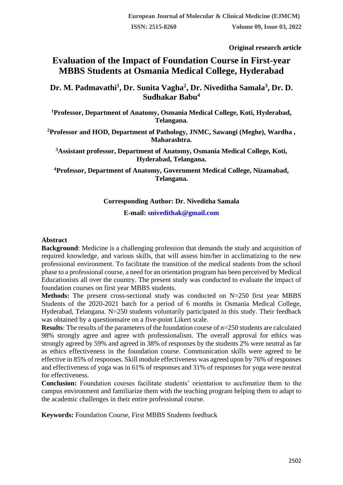**Original research article** 

# **Evaluation of the Impact of Foundation Course in First-year MBBS Students at Osmania Medical College, Hyderabad**

**Dr. M. Padmavathi<sup>1</sup> , Dr. Sunita Vagha<sup>2</sup> , Dr. Niveditha Samala<sup>3</sup> , Dr. D. Sudhakar Babu<sup>4</sup>**

**<sup>1</sup>Professor, Department of Anatomy, Osmania Medical College, Koti, Hyderabad, Telangana.**

**<sup>2</sup>Professor and HOD, Department of Pathology, JNMC, Sawangi (Meghe), Wardha , Maharashtra.**

**<sup>3</sup>Assistant professor, Department of Anatomy, Osmania Medical College, Koti, Hyderabad, Telangana.**

**<sup>4</sup>Professor, Department of Anatomy, Government Medical College, Nizamabad, Telangana.**

# **Corresponding Author: Dr. Niveditha Samala**

**E-mail: [snivedithak@gmail.com](mailto:snivedithak@gmail.com)**

### **Abstract**

**Background**: Medicine is a challenging profession that demands the study and acquisition of required knowledge, and various skills, that will assess him/her in acclimatizing to the new professional environment. To facilitate the transition of the medical students from the school phase to a professional course, a need for an orientation program has been perceived by Medical Educationists all over the country. The present study was conducted to evaluate the impact of foundation courses on first year MBBS students.

**Methods:** The present cross-sectional study was conducted on N=250 first year MBBS Students of the 2020-2021 batch for a period of 6 months in Osmania Medical College, Hyderabad, Telangana. N=250 students voluntarily participated in this study. Their feedback was obtained by a questionnaire on a five-point Likert scale.

**Results**: The results of the parameters of the foundation course of n=250 students are calculated 98% strongly agree and agree with professionalism. The overall approval for ethics was strongly agreed by 59% and agreed in 38% of responses by the students 2% were neutral as far as ethics effectiveness in the foundation course. Communication skills were agreed to be effective in 85% of responses. Skill module effectiveness was agreed upon by 76% of responses and effectiveness of yoga was in 61% of responses and 31% of responses for yoga were neutral for effectiveness.

**Conclusion:** Foundation courses facilitate students' orientation to acclimatize them to the campus environment and familiarize them with the teaching program helping them to adapt to the academic challenges in their entire professional course.

**Keywords:** Foundation Course, First MBBS Students feedback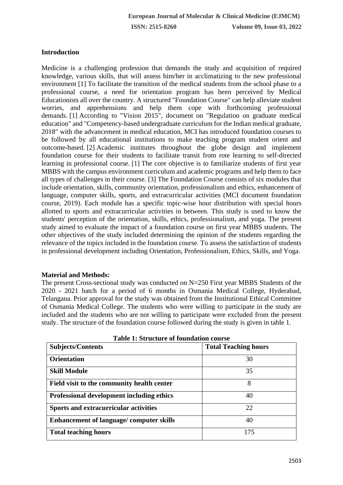# **Introduction**

Medicine is a challenging profession that demands the study and acquisition of required knowledge, various skills, that will assess him/her in acclimatizing to the new professional environment [1] To facilitate the transition of the medical students from the school phase to a professional course, a need for orientation program has been perceived by Medical Educationists all over the country. A structured "Foundation Course" can help alleviate student worries, and apprehensions and help them cope with forthcoming professional demands. [1] According to "Vision 2015", document on "Regulation on graduate medical education" and "Competency-based undergraduate curriculum for the Indian medical graduate, 2018" with the advancement in medical education, MCI has introduced foundation courses to be followed by all educational institutions to make teaching program student orient and outcome-based. [2] Academic institutes throughout the globe design and implement foundation course for their students to facilitate transit from rote learning to self-directed learning in professional course. [1] The core objective is to familiarize students of first year MBBS with the campus environment curriculum and academic programs and help them to face all types of challenges in their course. [3] The Foundation Course consists of six modules that include orientation, skills, community orientation, professionalism and ethics, enhancement of language, computer skills, sports, and extracurricular activities (MCI document foundation course, 2019). Each module has a specific topic-wise hour distribution with special hours allotted to sports and extracurricular activities in between. This study is used to know the students' perception of the orientation, skills, ethics, professionalism, and yoga. The present study aimed to evaluate the impact of a foundation course on first year MBBS students. The other objectives of the study included determining the opinion of the students regarding the relevance of the topics included in the foundation course. To assess the satisfaction of students in professional development including Orientation, Professionalism, Ethics, Skills, and Yoga.

# **Material and Methods:**

The present Cross-sectional study was conducted on N=250 First year MBBS Students of the 2020 - 2021 batch for a period of 6 months in Osmania Medical College, Hyderabad, Telangana. Prior approval for the study was obtained from the Institutional Ethical Committee of Osmania Medical College. The students who were willing to participate in the study are included and the students who are not willing to participate were excluded from the present study. The structure of the foundation course followed during the study is given in table 1.

| <b>Subjects/Contents</b>                         | <b>Total Teaching hours</b> |
|--------------------------------------------------|-----------------------------|
| <b>Orientation</b>                               | 30                          |
| <b>Skill Module</b>                              | 35                          |
| Field visit to the community health center       | 8                           |
| <b>Professional development including ethics</b> | 40                          |
| Sports and extracurricular activities            | 22                          |
| <b>Enhancement of language/computer skills</b>   | 40                          |
| <b>Total teaching hours</b>                      | 175                         |

| <b>Table 1: Structure of foundation course</b> |  |  |  |  |
|------------------------------------------------|--|--|--|--|
|------------------------------------------------|--|--|--|--|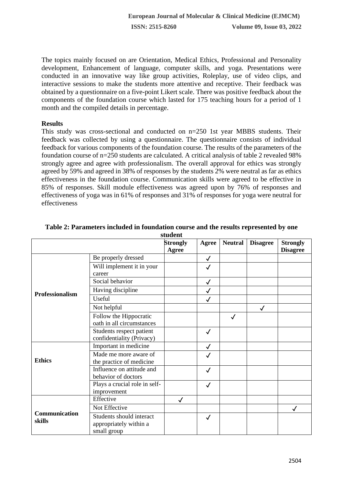The topics mainly focused on are Orientation, Medical Ethics, Professional and Personality development, Enhancement of language, computer skills, and yoga. Presentations were conducted in an innovative way like group activities, Roleplay, use of video clips, and interactive sessions to make the students more attentive and receptive. Their feedback was obtained by a questionnaire on a five-point Likert scale. There was positive feedback about the components of the foundation course which lasted for 175 teaching hours for a period of 1 month and the compiled details in percentage.

### **Results**

This study was cross-sectional and conducted on n=250 1st year MBBS students. Their feedback was collected by using a questionnaire. The questionnaire consists of individual feedback for various components of the foundation course. The results of the parameters of the foundation course of n=250 students are calculated. A critical analysis of table 2 revealed 98% strongly agree and agree with professionalism. The overall approval for ethics was strongly agreed by 59% and agreed in 38% of responses by the students 2% were neutral as far as ethics effectiveness in the foundation course. Communication skills were agreed to be effective in 85% of responses. Skill module effectiveness was agreed upon by 76% of responses and effectiveness of yoga was in 61% of responses and 31% of responses for yoga were neutral for effectiveness

|                        |                               | stuutni         |              |                |                 |                 |
|------------------------|-------------------------------|-----------------|--------------|----------------|-----------------|-----------------|
|                        |                               | <b>Strongly</b> | Agree        | <b>Neutral</b> | <b>Disagree</b> | <b>Strongly</b> |
|                        |                               | Agree           |              |                |                 | <b>Disagree</b> |
|                        | Be properly dressed           |                 | $\checkmark$ |                |                 |                 |
|                        | Will implement it in your     |                 | $\checkmark$ |                |                 |                 |
|                        | career                        |                 |              |                |                 |                 |
|                        | Social behavior               |                 | $\checkmark$ |                |                 |                 |
| <b>Professionalism</b> | Having discipline             |                 |              |                |                 |                 |
|                        | Useful                        |                 | $\checkmark$ |                |                 |                 |
|                        | Not helpful                   |                 |              |                | $\checkmark$    |                 |
|                        | Follow the Hippocratic        |                 |              | √              |                 |                 |
|                        | oath in all circumstances     |                 |              |                |                 |                 |
|                        | Students respect patient      |                 | $\checkmark$ |                |                 |                 |
|                        | confidentiality (Privacy)     |                 |              |                |                 |                 |
| <b>Ethics</b>          | Important in medicine         |                 |              |                |                 |                 |
|                        | Made me more aware of         |                 | ✓            |                |                 |                 |
|                        | the practice of medicine      |                 |              |                |                 |                 |
|                        | Influence on attitude and     |                 | $\checkmark$ |                |                 |                 |
|                        | behavior of doctors           |                 |              |                |                 |                 |
|                        | Plays a crucial role in self- |                 | $\checkmark$ |                |                 |                 |
|                        | improvement                   |                 |              |                |                 |                 |
|                        | Effective                     | $\checkmark$    |              |                |                 |                 |
|                        | Not Effective                 |                 |              |                |                 |                 |
| Communication          | Students should interact      |                 | $\checkmark$ |                |                 |                 |
| skills                 | appropriately within a        |                 |              |                |                 |                 |
|                        | small group                   |                 |              |                |                 |                 |

#### **Table 2: Parameters included in foundation course and the results represented by one student**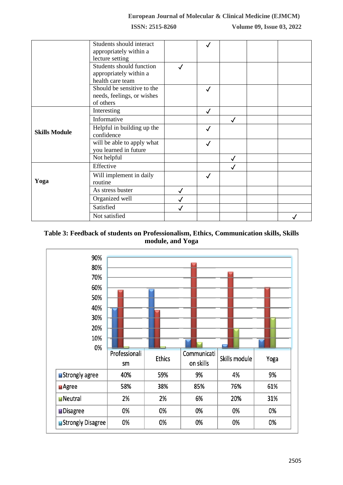**ISSN: 2515-8260 Volume 09, Issue 03, 2022**

|                      | Students should interact<br>appropriately within a<br>lecture setting  |   |              |              |  |
|----------------------|------------------------------------------------------------------------|---|--------------|--------------|--|
|                      | Students should function<br>appropriately within a<br>health care team |   |              |              |  |
|                      | Should be sensitive to the<br>needs, feelings, or wishes<br>of others  |   | $\checkmark$ |              |  |
| <b>Skills Module</b> | Interesting                                                            |   | $\checkmark$ |              |  |
|                      | Informative                                                            |   |              |              |  |
|                      | Helpful in building up the<br>confidence                               |   | $\checkmark$ |              |  |
|                      | will be able to apply what<br>you learned in future                    |   | $\checkmark$ |              |  |
|                      | Not helpful                                                            |   |              | $\checkmark$ |  |
| Yoga                 | Effective                                                              |   |              | ✓            |  |
|                      | Will implement in daily<br>routine                                     |   | $\checkmark$ |              |  |
|                      | As stress buster                                                       |   |              |              |  |
|                      | Organized well                                                         |   |              |              |  |
|                      | Satisfied                                                              | √ |              |              |  |
|                      | Not satisfied                                                          |   |              |              |  |

# **Table 3: Feedback of students on Professionalism, Ethics, Communication skills, Skills module, and Yoga**

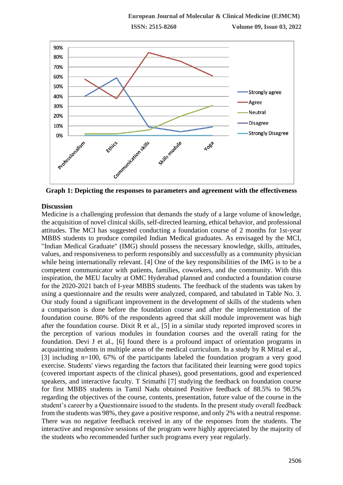

**Graph 1: Depicting the responses to parameters and agreement with the effectiveness**

# **Discussion**

Medicine is a challenging profession that demands the study of a large volume of knowledge, the acquisition of novel clinical skills, self-directed learning, ethical behavior, and professional attitudes. The MCI has suggested conducting a foundation course of 2 months for 1st-year MBBS students to produce compiled Indian Medical graduates. As envisaged by the MCI, "Indian Medical Graduate" (IMG) should possess the necessary knowledge, skills, attitudes, values, and responsiveness to perform responsibly and successfully as a community physician while being internationally relevant. [4] One of the key responsibilities of the IMG is to be a competent communicator with patients, families, coworkers, and the community. With this inspiration, the MEU faculty at OMC Hyderabad planned and conducted a foundation course for the 2020-2021 batch of I-year MBBS students. The feedback of the students was taken by using a questionnaire and the results were analyzed, compared, and tabulated in Table No. 3. Our study found a significant improvement in the development of skills of the students when a comparison is done before the foundation course and after the implementation of the foundation course. 80% of the respondents agreed that skill module improvement was high after the foundation course. Dixit R et al., [5] in a similar study reported improved scores in the perception of various modules in foundation courses and the overall rating for the foundation. Devi J et al., [6] found there is a profound impact of orientation programs in acquainting students in multiple areas of the medical curriculum. In a study by R Mittal et al., [3] including n=100, 67% of the participants labeled the foundation program a very good exercise. Students' views regarding the factors that facilitated their learning were good topics (covered important aspects of the clinical phases), good presentations, good and experienced speakers, and interactive faculty. T Srimathi [7] studying the feedback on foundation course for first MBBS students in Tamil Nadu obtained Positive feedback of 88.5% to 98.5% regarding the objectives of the course, contents, presentation, future value of the course in the student's career by a Questionnaire issued to the students. In the present study overall feedback from the students was 98%, they gave a positive response, and only 2% with a neutral response. There was no negative feedback received in any of the responses from the students. The interactive and responsive sessions of the program were highly appreciated by the majority of the students who recommended further such programs every year regularly.